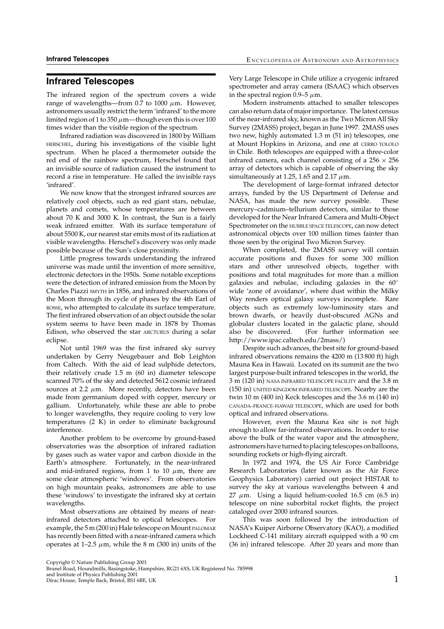## **Infrared Telescopes**

The infrared region of the spectrum covers a wide range of wavelengths—from 0.7 to 1000  $\mu$ m. However, astronomers usually restrict the term 'infrared' to the more limited region of 1 to 350  $\mu$ m—though even this is over 100 times wider than the visible region of the spectrum.

Infrared radiation was discovered in 1800 by William HERSCHEL, during his investigations of the visible light spectrum. When he placed a thermometer outside the red end of the rainbow spectrum, Herschel found that an invisible source of radiation caused the instrument to record a rise in temperature. He called the invisible rays 'infrared'.

We now know that the strongest infrared sources are relatively cool objects, such as red giant stars, nebulae, planets and comets, whose temperatures are between about 70 K and 3000 K. In contrast, the Sun is a fairly weak infrared emitter. With its surface temperature of about 5500 K, our nearest star emits most of its radiation at visible wavelengths. Herschel's discovery was only made possible because of the Sun's close proximity.

Little progress towards understanding the infrared universe was made until the invention of more sensitive, electronic detectors in the 1950s. Some notable exceptions were the detection of infrared emission from the Moon by Charles Piazzi SMYTH in 1856, and infrared observations of the Moon through its cycle of phases by the 4th Earl of ROSSE, who attempted to calculate its surface temperature. The first infrared observation of an object outside the solar system seems to have been made in 1878 by Thomas Edison, who observed the star ARCTURUS during a solar eclipse.

Not until 1969 was the first infrared sky survey undertaken by Gerry Neugebauer and Bob Leighton from Caltech. With the aid of lead sulphide detectors, their relatively crude 1.5 m (60 in) diameter telescope scanned 70% of the sky and detected 5612 cosmic infrared sources at 2.2  $\mu$ m. More recently, detectors have been made from germanium doped with copper, mercury or gallium. Unfortunately, while these are able to probe to longer wavelengths, they require cooling to very low temperatures (2 K) in order to eliminate background interference.

Another problem to be overcome by ground-based observatories was the absorption of infrared radiation by gases such as water vapor and carbon dioxide in the Earth's atmosphere. Fortunately, in the near-infrared and mid-infrared regions, from 1 to 10  $\mu$ m, there are some clear atmospheric 'windows'. From observatories on high mountain peaks, astronomers are able to use these 'windows' to investigate the infrared sky at certain wavelengths.

Most observations are obtained by means of nearinfrared detectors attached to optical telescopes. For example, the 5 m (200 in) Hale telescope on Mount PALOMAR has recently been fitted with a near-infrared camera which operates at 1–2.5  $\mu$ m, while the 8 m (300 in) units of the Very Large Telescope in Chile utilize a cryogenic infrared spectrometer and array camera (ISAAC) which observes in the spectral region 0.9–5  $\mu$ m.

Modern instruments attached to smaller telescopes can also return data of major importance. The latest census of the near-infrared sky, known as the Two Micron All Sky Survey (2MASS) project, began in June 1997. 2MASS uses two new, highly automated 1.3 m (51 in) telescopes, one at Mount Hopkins in Arizona, and one at CERRO TOLOLO in Chile. Both telescopes are equipped with a three-color infrared camera, each channel consisting of a  $256 \times 256$ array of detectors which is capable of observing the sky simultaneously at 1.25, 1.65 and 2.17  $\mu$ m.

The development of large-format infrared detector arrays, funded by the US Department of Defense and NASA, has made the new survey possible. These mercury–cadmium–tellurium detectors, similar to those developed for the Near Infrared Camera and Multi-Object Spectrometer on the HUBBLE SPACE TELESCOPE, can now detect astronomical objects over 100 million times fainter than those seen by the original Two Micron Survey.

When completed, the 2MASS survey will contain accurate positions and fluxes for some 300 million stars and other unresolved objects, together with positions and total magnitudes for more than a million galaxies and nebulae, including galaxies in the 60◦ wide 'zone of avoidance', where dust within the Milky Way renders optical galaxy surveys incomplete. Rare objects such as extremely low-luminosity stars and brown dwarfs, or heavily dust-obscured AGNs and globular clusters located in the galactic plane, should also be discovered. (For further information see http://www.ipac.caltech.edu/2mass/)

Despite such advances, the best site for ground-based infrared observations remains the 4200 m (13 800 ft) high Mauna Kea in Hawaii. Located on its summit are the two largest purpose-built infrared telescopes in the world, the 3 m (120 in) NASA INFRARED TELESCOPE FACILITY and the 3.8 m (150 in) UNITED KINGDOM INFRARED TELESCOPE. Nearby are the twin 10 m (400 in) Keck telescopes and the 3.6 m (140 in) CANADA–FRANCE–HAWAII TELESCOPE, which are used for both optical and infrared observations.

However, even the Mauna Kea site is not high enough to allow far-infrared observations. In order to rise above the bulk of the water vapor and the atmosphere, astronomers have turned to placing telescopes on balloons, sounding rockets or high-flying aircraft.

In 1972 and 1974, the US Air Force Cambridge Research Laboratories (later known as the Air Force Geophysics Laboratory) carried out project HISTAR to survey the sky at various wavelengths between 4 and 27  $\mu$ m. Using a liquid helium-cooled 16.5 cm (6.5 in) telescope on nine suborbital rocket flights, the project cataloged over 2000 infrared sources.

This was soon followed by the introduction of NASA's Kuiper Airborne Observatory (KAO), a modified Lockheed C-141 military aircraft equipped with a 90 cm (36 in) infrared telescope. After 20 years and more than

Copyright © Nature Publishing Group 2001 Brunel Road, Houndmills, Basingstoke, Hampshire, RG21 6XS, UK Registered No. 785998

and Institute of Physics Publishing 2001